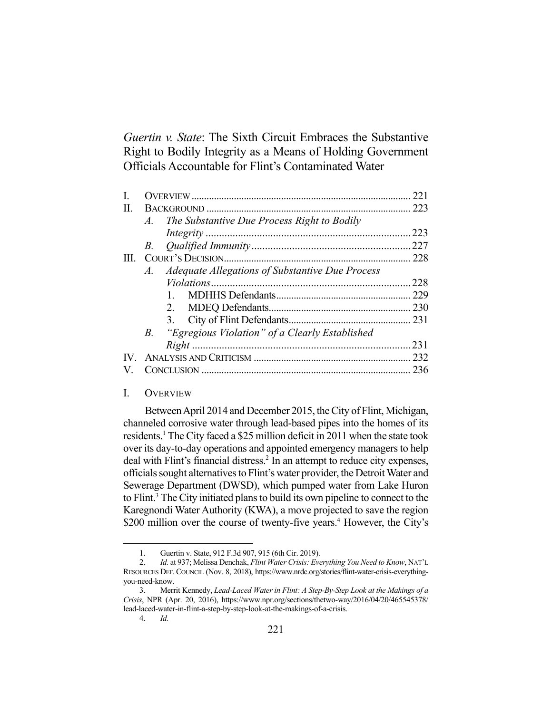*Guertin v. State*: The Sixth Circuit Embraces the Substantive Right to Bodily Integrity as a Means of Holding Government Officials Accountable for Flint's Contaminated Water

|                                                          | 221                                               |
|----------------------------------------------------------|---------------------------------------------------|
|                                                          |                                                   |
| A. The Substantive Due Process Right to Bodily           |                                                   |
|                                                          | 223                                               |
|                                                          |                                                   |
|                                                          |                                                   |
| Adequate Allegations of Substantive Due Process<br>$A$ . |                                                   |
|                                                          | 228                                               |
|                                                          |                                                   |
|                                                          |                                                   |
|                                                          |                                                   |
|                                                          |                                                   |
|                                                          | 231                                               |
|                                                          |                                                   |
|                                                          | 236                                               |
|                                                          | B. "Egregious Violation" of a Clearly Established |

# I. OVERVIEW

 Between April 2014 and December 2015, the City of Flint, Michigan, channeled corrosive water through lead-based pipes into the homes of its residents.<sup>1</sup> The City faced a \$25 million deficit in 2011 when the state took over its day-to-day operations and appointed emergency managers to help deal with Flint's financial distress.<sup>2</sup> In an attempt to reduce city expenses, officials sought alternatives to Flint's water provider, the Detroit Water and Sewerage Department (DWSD), which pumped water from Lake Huron to Flint.<sup>3</sup> The City initiated plans to build its own pipeline to connect to the Karegnondi Water Authority (KWA), a move projected to save the region \$200 million over the course of twenty-five years.<sup>4</sup> However, the City's

 <sup>1.</sup> Guertin v. State, 912 F.3d 907, 915 (6th Cir. 2019).

 <sup>2.</sup> *Id.* at 937; Melissa Denchak, *Flint Water Crisis: Everything You Need to Know*, NAT'L RESOURCES DEF. COUNCIL (Nov. 8, 2018), https://www.nrdc.org/stories/flint-water-crisis-everythingyou-need-know.

 <sup>3.</sup> Merrit Kennedy, *Lead-Laced Water in Flint: A Step-By-Step Look at the Makings of a Crisis*, NPR (Apr. 20, 2016), https://www.npr.org/sections/thetwo-way/2016/04/20/465545378/ lead-laced-water-in-flint-a-step-by-step-look-at-the-makings-of-a-crisis.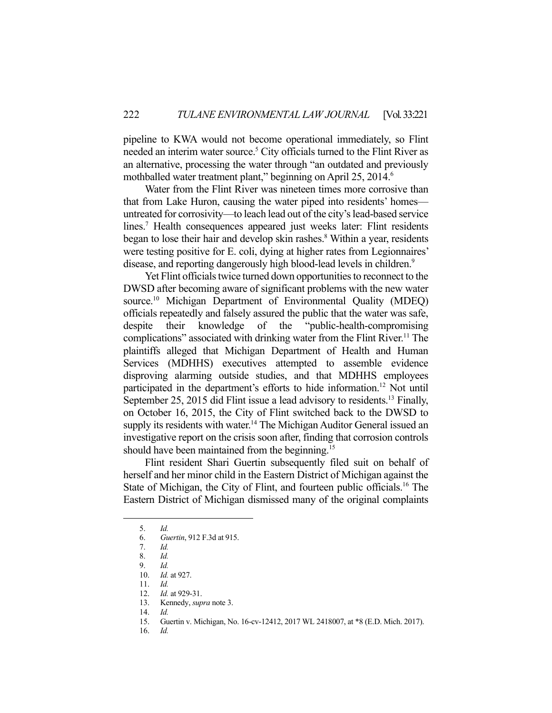pipeline to KWA would not become operational immediately, so Flint needed an interim water source.<sup>5</sup> City officials turned to the Flint River as an alternative, processing the water through "an outdated and previously mothballed water treatment plant," beginning on April 25, 2014.<sup>6</sup>

 Water from the Flint River was nineteen times more corrosive than that from Lake Huron, causing the water piped into residents' homes untreated for corrosivity—to leach lead out of the city's lead-based service lines.<sup>7</sup> Health consequences appeared just weeks later: Flint residents began to lose their hair and develop skin rashes.<sup>8</sup> Within a year, residents were testing positive for E. coli, dying at higher rates from Legionnaires' disease, and reporting dangerously high blood-lead levels in children.<sup>9</sup>

 Yet Flint officials twice turned down opportunities to reconnect to the DWSD after becoming aware of significant problems with the new water source.<sup>10</sup> Michigan Department of Environmental Quality (MDEQ) officials repeatedly and falsely assured the public that the water was safe, despite their knowledge of the "public-health-compromising complications" associated with drinking water from the Flint River.<sup>11</sup> The plaintiffs alleged that Michigan Department of Health and Human Services (MDHHS) executives attempted to assemble evidence disproving alarming outside studies, and that MDHHS employees participated in the department's efforts to hide information.<sup>12</sup> Not until September 25, 2015 did Flint issue a lead advisory to residents.<sup>13</sup> Finally, on October 16, 2015, the City of Flint switched back to the DWSD to supply its residents with water.<sup>14</sup> The Michigan Auditor General issued an investigative report on the crisis soon after, finding that corrosion controls should have been maintained from the beginning.<sup>15</sup>

 Flint resident Shari Guertin subsequently filed suit on behalf of herself and her minor child in the Eastern District of Michigan against the State of Michigan, the City of Flint, and fourteen public officials.<sup>16</sup> The Eastern District of Michigan dismissed many of the original complaints

 <sup>5.</sup> *Id.*

 <sup>6.</sup> *Guertin*, 912 F.3d at 915.

 <sup>7.</sup> *Id.*

 <sup>8.</sup> *Id.*

 <sup>9.</sup> *Id.* 10. *Id.* at 927.

 <sup>11.</sup> *Id.*

 <sup>12.</sup> *Id.* at 929-31.

 <sup>13.</sup> Kennedy, *supra* note 3.

 <sup>14.</sup> *Id.*

 <sup>15.</sup> Guertin v. Michigan, No. 16-cv-12412, 2017 WL 2418007, at \*8 (E.D. Mich. 2017).

 <sup>16.</sup> *Id.*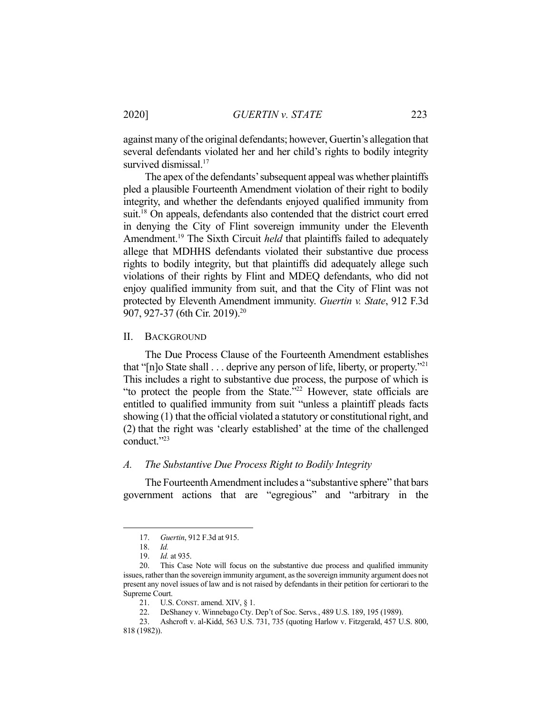against many of the original defendants; however, Guertin's allegation that several defendants violated her and her child's rights to bodily integrity survived dismissal.<sup>17</sup>

 The apex of the defendants' subsequent appeal was whether plaintiffs pled a plausible Fourteenth Amendment violation of their right to bodily integrity, and whether the defendants enjoyed qualified immunity from suit.<sup>18</sup> On appeals, defendants also contended that the district court erred in denying the City of Flint sovereign immunity under the Eleventh Amendment.<sup>19</sup> The Sixth Circuit *held* that plaintiffs failed to adequately allege that MDHHS defendants violated their substantive due process rights to bodily integrity, but that plaintiffs did adequately allege such violations of their rights by Flint and MDEQ defendants, who did not enjoy qualified immunity from suit, and that the City of Flint was not protected by Eleventh Amendment immunity. *Guertin v. State*, 912 F.3d 907, 927-37 (6th Cir. 2019).20

#### II. BACKGROUND

 The Due Process Clause of the Fourteenth Amendment establishes that "[n]o State shall  $\dots$  deprive any person of life, liberty, or property."<sup>21</sup> This includes a right to substantive due process, the purpose of which is "to protect the people from the State."22 However, state officials are entitled to qualified immunity from suit "unless a plaintiff pleads facts showing (1) that the official violated a statutory or constitutional right, and (2) that the right was 'clearly established' at the time of the challenged conduct."23

### *A. The Substantive Due Process Right to Bodily Integrity*

 The Fourteenth Amendment includes a "substantive sphere" that bars government actions that are "egregious" and "arbitrary in the

 <sup>17.</sup> *Guertin*, 912 F.3d at 915.

 <sup>18.</sup> *Id.*

 <sup>19.</sup> *Id.* at 935.

 <sup>20.</sup> This Case Note will focus on the substantive due process and qualified immunity issues, rather than the sovereign immunity argument, as the sovereign immunity argument does not present any novel issues of law and is not raised by defendants in their petition for certiorari to the Supreme Court.

 <sup>21.</sup> U.S. CONST. amend. XIV, § 1.

 <sup>22.</sup> DeShaney v. Winnebago Cty. Dep't of Soc. Servs*.*, 489 U.S. 189, 195 (1989).

 <sup>23.</sup> Ashcroft v. al-Kidd, 563 U.S. 731, 735 (quoting Harlow v. Fitzgerald, 457 U.S. 800, 818 (1982)).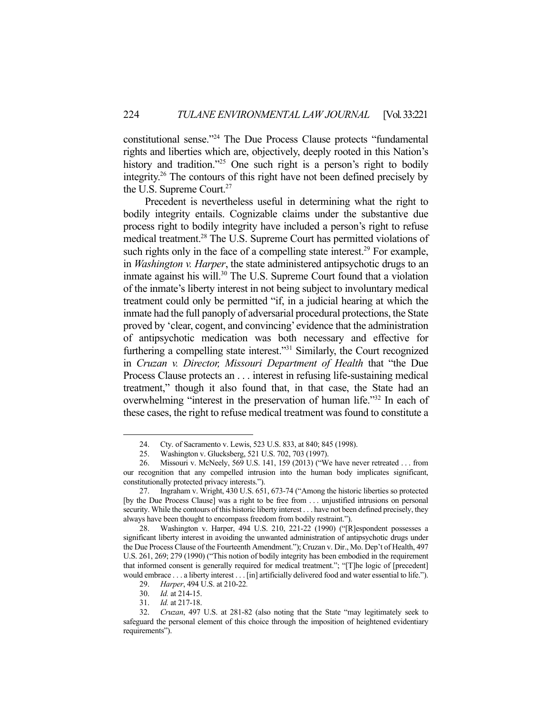constitutional sense."24 The Due Process Clause protects "fundamental rights and liberties which are, objectively, deeply rooted in this Nation's history and tradition."<sup>25</sup> One such right is a person's right to bodily integrity.26 The contours of this right have not been defined precisely by the U.S. Supreme Court.<sup>27</sup>

 Precedent is nevertheless useful in determining what the right to bodily integrity entails. Cognizable claims under the substantive due process right to bodily integrity have included a person's right to refuse medical treatment.28 The U.S. Supreme Court has permitted violations of such rights only in the face of a compelling state interest.<sup>29</sup> For example, in *Washington v. Harper*, the state administered antipsychotic drugs to an inmate against his will.<sup>30</sup> The U.S. Supreme Court found that a violation of the inmate's liberty interest in not being subject to involuntary medical treatment could only be permitted "if, in a judicial hearing at which the inmate had the full panoply of adversarial procedural protections, the State proved by 'clear, cogent, and convincing' evidence that the administration of antipsychotic medication was both necessary and effective for furthering a compelling state interest."31 Similarly, the Court recognized in *Cruzan v. Director, Missouri Department of Health* that "the Due Process Clause protects an . . . interest in refusing life-sustaining medical treatment," though it also found that, in that case, the State had an overwhelming "interest in the preservation of human life."32 In each of these cases, the right to refuse medical treatment was found to constitute a

 <sup>24.</sup> Cty. of Sacramento v. Lewis, 523 U.S. 833, at 840; 845 (1998).

 <sup>25.</sup> Washington v. Glucksberg, 521 U.S. 702, 703 (1997).

 <sup>26.</sup> Missouri v. McNeely, 569 U.S. 141, 159 (2013) ("We have never retreated . . . from our recognition that any compelled intrusion into the human body implicates significant, constitutionally protected privacy interests.").

 <sup>27.</sup> Ingraham v. Wright, 430 U.S. 651, 673-74 ("Among the historic liberties so protected [by the Due Process Clause] was a right to be free from . . . unjustified intrusions on personal security. While the contours of this historic liberty interest . . . have not been defined precisely, they always have been thought to encompass freedom from bodily restraint.").

 <sup>28.</sup> Washington v. Harper, 494 U.S. 210, 221-22 (1990) ("[R]espondent possesses a significant liberty interest in avoiding the unwanted administration of antipsychotic drugs under the Due Process Clause of the Fourteenth Amendment."); Cruzan v. Dir., Mo. Dep't of Health, 497 U.S. 261, 269; 279 (1990) ("This notion of bodily integrity has been embodied in the requirement that informed consent is generally required for medical treatment."; "[T]he logic of [precedent] would embrace . . . a liberty interest . . . [in] artificially delivered food and water essential to life.").

 <sup>29.</sup> *Harper*, 494 U.S. at 210-22*.*

 <sup>30.</sup> *Id.* at 214-15.

 <sup>31.</sup> *Id.* at 217-18.

 <sup>32.</sup> *Cruzan*, 497 U.S. at 281-82 (also noting that the State "may legitimately seek to safeguard the personal element of this choice through the imposition of heightened evidentiary requirements").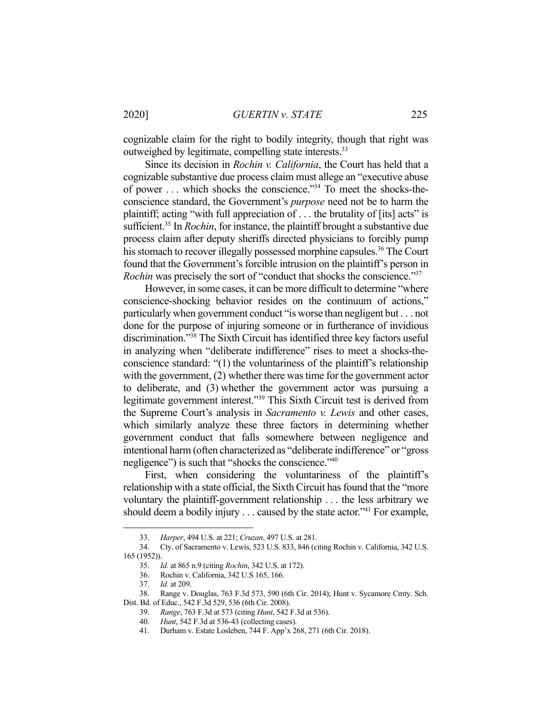cognizable claim for the right to bodily integrity, though that right was outweighed by legitimate, compelling state interests.<sup>33</sup>

 Since its decision in *Rochin v. California*, the Court has held that a cognizable substantive due process claim must allege an "executive abuse of power . . . which shocks the conscience."34 To meet the shocks-theconscience standard, the Government's *purpose* need not be to harm the plaintiff; acting "with full appreciation of  $\dots$  the brutality of [its] acts" is sufficient.35 In *Rochin*, for instance, the plaintiff brought a substantive due process claim after deputy sheriffs directed physicians to forcibly pump his stomach to recover illegally possessed morphine capsules.<sup>36</sup> The Court found that the Government's forcible intrusion on the plaintiff's person in *Rochin* was precisely the sort of "conduct that shocks the conscience."37

 However, in some cases, it can be more difficult to determine "where conscience-shocking behavior resides on the continuum of actions," particularly when government conduct "is worse than negligent but . . . not done for the purpose of injuring someone or in furtherance of invidious discrimination."38 The Sixth Circuit has identified three key factors useful in analyzing when "deliberate indifference" rises to meet a shocks-theconscience standard: "(1) the voluntariness of the plaintiff's relationship with the government, (2) whether there was time for the government actor to deliberate, and (3) whether the government actor was pursuing a legitimate government interest."39 This Sixth Circuit test is derived from the Supreme Court's analysis in *Sacramento v. Lewis* and other cases, which similarly analyze these three factors in determining whether government conduct that falls somewhere between negligence and intentional harm (often characterized as "deliberate indifference" or "gross negligence") is such that "shocks the conscience."40

 First, when considering the voluntariness of the plaintiff's relationship with a state official, the Sixth Circuit has found that the "more voluntary the plaintiff-government relationship . . . the less arbitrary we should deem a bodily injury  $\ldots$  caused by the state actor.<sup>341</sup> For example,

 <sup>33.</sup> *Harper*, 494 U.S. at 221; *Cruzan*, 497 U.S. at 281.

 <sup>34.</sup> Cty. of Sacramento v. Lewis, 523 U.S. 833, 846 (citing Rochin v. California, 342 U.S. 165 (1952)).

 <sup>35.</sup> *Id.* at 865 n.9 (citing *Rochin*, 342 U.S. at 172).

 <sup>36.</sup> Rochin v. California, 342 U.S 165, 166.

 <sup>37.</sup> *Id.* at 209.

 <sup>38.</sup> Range v. Douglas, 763 F.3d 573, 590 (6th Cir. 2014); Hunt v. Sycamore Cmty. Sch.

Dist. Bd. of Educ., 542 F.3d 529, 536 (6th Cir. 2008).

 <sup>39.</sup> *Range*, 763 F.3d at 573 (citing *Hunt*, 542 F.3d at 536).

 <sup>40.</sup> *Hunt*, 542 F.3d at 536-43 (collecting cases).

 <sup>41.</sup> Durham v. Estate Losleben, 744 F. App'x 268, 271 (6th Cir. 2018).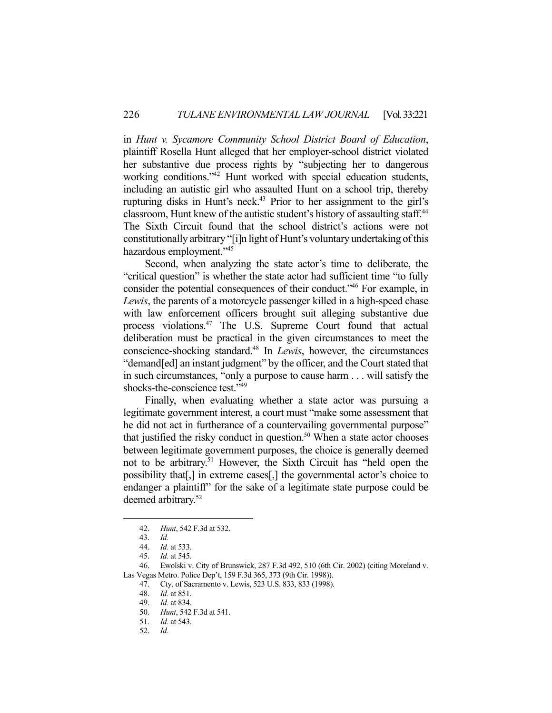in *Hunt v. Sycamore Community School District Board of Education*, plaintiff Rosella Hunt alleged that her employer-school district violated her substantive due process rights by "subjecting her to dangerous working conditions."42 Hunt worked with special education students, including an autistic girl who assaulted Hunt on a school trip, thereby rupturing disks in Hunt's neck.<sup>43</sup> Prior to her assignment to the girl's classroom, Hunt knew of the autistic student's history of assaulting staff.<sup>44</sup> The Sixth Circuit found that the school district's actions were not constitutionally arbitrary "[i]n light of Hunt's voluntary undertaking of this hazardous employment."45

 Second, when analyzing the state actor's time to deliberate, the "critical question" is whether the state actor had sufficient time "to fully consider the potential consequences of their conduct."46 For example, in *Lewis*, the parents of a motorcycle passenger killed in a high-speed chase with law enforcement officers brought suit alleging substantive due process violations.<sup>47</sup> The U.S. Supreme Court found that actual deliberation must be practical in the given circumstances to meet the conscience-shocking standard.48 In *Lewis*, however, the circumstances "demand[ed] an instant judgment" by the officer, and the Court stated that in such circumstances, "only a purpose to cause harm . . . will satisfy the shocks-the-conscience test."<sup>49</sup>

 Finally, when evaluating whether a state actor was pursuing a legitimate government interest, a court must "make some assessment that he did not act in furtherance of a countervailing governmental purpose" that justified the risky conduct in question.<sup>50</sup> When a state actor chooses between legitimate government purposes, the choice is generally deemed not to be arbitrary.51 However, the Sixth Circuit has "held open the possibility that[,] in extreme cases[,] the governmental actor's choice to endanger a plaintiff" for the sake of a legitimate state purpose could be deemed arbitrary.<sup>52</sup>

 <sup>42.</sup> *Hunt*, 542 F.3d at 532.

 <sup>43.</sup> *Id.*

 <sup>44.</sup> *Id.* at 533.

 <sup>45.</sup> *Id.* at 545.

 <sup>46.</sup> Ewolski v. City of Brunswick, 287 F.3d 492, 510 (6th Cir. 2002) (citing Moreland v. Las Vegas Metro. Police Dep't, 159 F.3d 365, 373 (9th Cir. 1998)).

 <sup>47.</sup> Cty. of Sacramento v. Lewis, 523 U.S. 833, 833 (1998).

 <sup>48.</sup> *Id.* at 851.

 <sup>49.</sup> *Id.* at 834.

 <sup>50.</sup> *Hunt*, 542 F.3d at 541.

 <sup>51.</sup> *Id.* at 543.

 <sup>52.</sup> *Id.*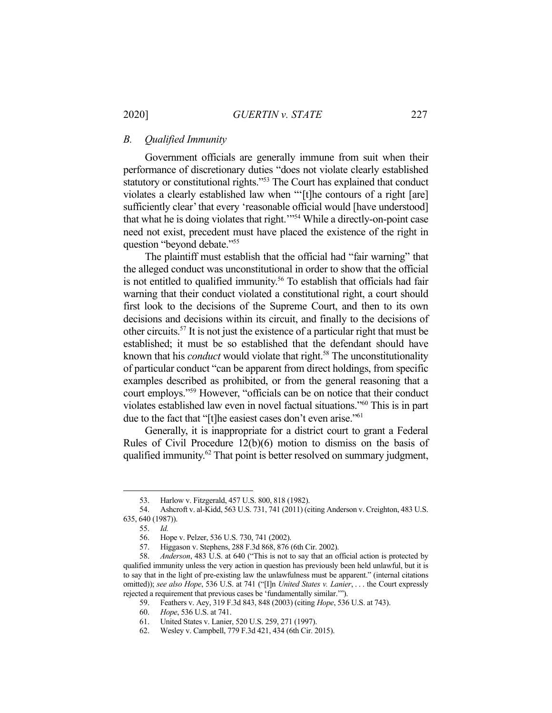### *B. Qualified Immunity*

 Government officials are generally immune from suit when their performance of discretionary duties "does not violate clearly established statutory or constitutional rights."53 The Court has explained that conduct violates a clearly established law when "'[t]he contours of a right [are] sufficiently clear' that every 'reasonable official would [have understood] that what he is doing violates that right.'"54 While a directly-on-point case need not exist, precedent must have placed the existence of the right in question "beyond debate."55

 The plaintiff must establish that the official had "fair warning" that the alleged conduct was unconstitutional in order to show that the official is not entitled to qualified immunity.<sup>56</sup> To establish that officials had fair warning that their conduct violated a constitutional right, a court should first look to the decisions of the Supreme Court, and then to its own decisions and decisions within its circuit, and finally to the decisions of other circuits.57 It is not just the existence of a particular right that must be established; it must be so established that the defendant should have known that his *conduct* would violate that right.<sup>58</sup> The unconstitutionality of particular conduct "can be apparent from direct holdings, from specific examples described as prohibited, or from the general reasoning that a court employs."59 However, "officials can be on notice that their conduct violates established law even in novel factual situations."60 This is in part due to the fact that "[t]he easiest cases don't even arise."<sup>61</sup>

 Generally, it is inappropriate for a district court to grant a Federal Rules of Civil Procedure 12(b)(6) motion to dismiss on the basis of qualified immunity.<sup>62</sup> That point is better resolved on summary judgment,

 <sup>53.</sup> Harlow v. Fitzgerald, 457 U.S. 800, 818 (1982).

 <sup>54.</sup> Ashcroft v. al-Kidd, 563 U.S. 731, 741 (2011) (citing Anderson v. Creighton, 483 U.S. 635, 640 (1987)).

 <sup>55.</sup> *Id.*

 <sup>56.</sup> Hope v. Pelzer, 536 U.S. 730, 741 (2002).

 <sup>57.</sup> Higgason v. Stephens, 288 F.3d 868, 876 (6th Cir. 2002).

 <sup>58.</sup> *Anderson*, 483 U.S. at 640 ("This is not to say that an official action is protected by qualified immunity unless the very action in question has previously been held unlawful, but it is to say that in the light of pre-existing law the unlawfulness must be apparent." (internal citations omitted)); *see also Hope*, 536 U.S. at 741 ("[I]n *United States v. Lanier*, . . . the Court expressly rejected a requirement that previous cases be 'fundamentally similar.'").

 <sup>59.</sup> Feathers v. Aey, 319 F.3d 843, 848 (2003) (citing *Hope*, 536 U.S. at 743).

 <sup>60.</sup> *Hope*, 536 U.S. at 741.

 <sup>61.</sup> United States v. Lanier, 520 U.S. 259, 271 (1997).

 <sup>62.</sup> Wesley v. Campbell, 779 F.3d 421, 434 (6th Cir. 2015).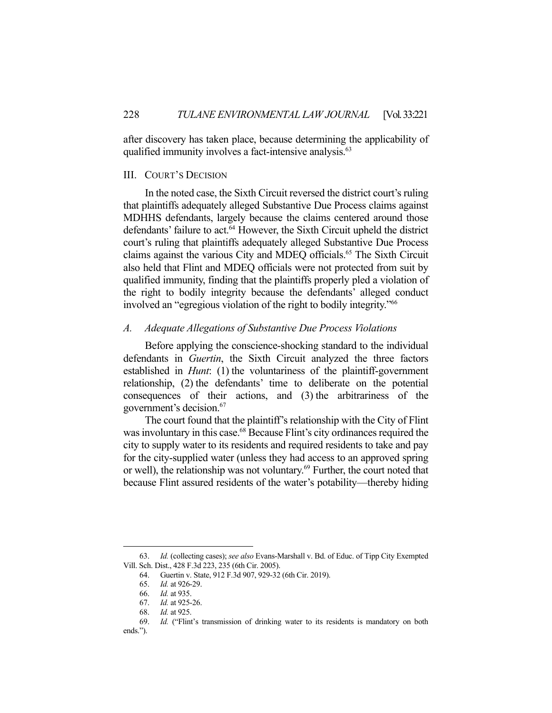after discovery has taken place, because determining the applicability of qualified immunity involves a fact-intensive analysis.<sup>63</sup>

#### III. COURT'S DECISION

 In the noted case, the Sixth Circuit reversed the district court's ruling that plaintiffs adequately alleged Substantive Due Process claims against MDHHS defendants, largely because the claims centered around those defendants' failure to act. $64$  However, the Sixth Circuit upheld the district court's ruling that plaintiffs adequately alleged Substantive Due Process claims against the various City and MDEQ officials.65 The Sixth Circuit also held that Flint and MDEQ officials were not protected from suit by qualified immunity, finding that the plaintiffs properly pled a violation of the right to bodily integrity because the defendants' alleged conduct involved an "egregious violation of the right to bodily integrity."66

# *A. Adequate Allegations of Substantive Due Process Violations*

 Before applying the conscience-shocking standard to the individual defendants in *Guertin*, the Sixth Circuit analyzed the three factors established in *Hunt*: (1) the voluntariness of the plaintiff-government relationship, (2) the defendants' time to deliberate on the potential consequences of their actions, and (3) the arbitrariness of the government's decision.67

 The court found that the plaintiff's relationship with the City of Flint was involuntary in this case.<sup>68</sup> Because Flint's city ordinances required the city to supply water to its residents and required residents to take and pay for the city-supplied water (unless they had access to an approved spring or well), the relationship was not voluntary.69 Further, the court noted that because Flint assured residents of the water's potability—thereby hiding

 <sup>63.</sup> *Id.* (collecting cases); *see also* Evans-Marshall v. Bd. of Educ. of Tipp City Exempted Vill. Sch. Dist., 428 F.3d 223, 235 (6th Cir. 2005).

 <sup>64.</sup> Guertin v. State, 912 F.3d 907, 929-32 (6th Cir. 2019).

 <sup>65.</sup> *Id.* at 926-29.

 <sup>66.</sup> *Id.* at 935.

 <sup>67.</sup> *Id.* at 925-26.

 <sup>68.</sup> *Id.* at 925.

 <sup>69.</sup> *Id.* ("Flint's transmission of drinking water to its residents is mandatory on both ends.").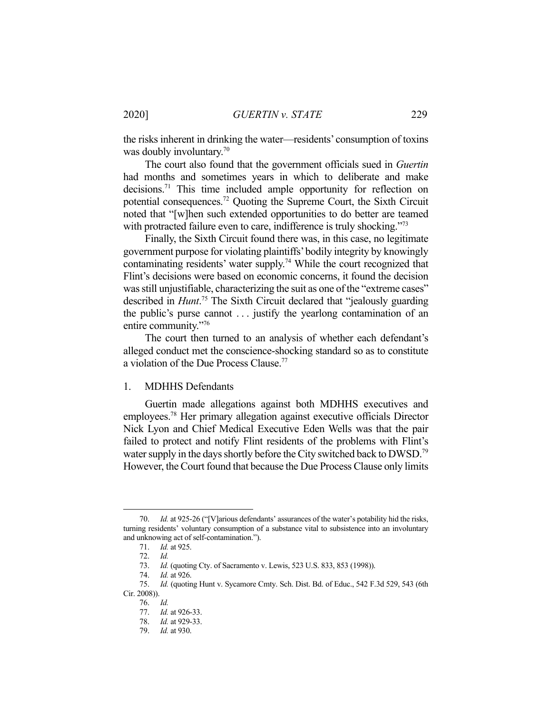the risks inherent in drinking the water—residents' consumption of toxins was doubly involuntary.<sup>70</sup>

 The court also found that the government officials sued in *Guertin* had months and sometimes years in which to deliberate and make decisions.71 This time included ample opportunity for reflection on potential consequences.72 Quoting the Supreme Court, the Sixth Circuit noted that "[w]hen such extended opportunities to do better are teamed with protracted failure even to care, indifference is truly shocking."<sup>73</sup>

 Finally, the Sixth Circuit found there was, in this case, no legitimate government purpose for violating plaintiffs' bodily integrity by knowingly contaminating residents' water supply.74 While the court recognized that Flint's decisions were based on economic concerns, it found the decision was still unjustifiable, characterizing the suit as one of the "extreme cases" described in *Hunt*. 75 The Sixth Circuit declared that "jealously guarding the public's purse cannot . . . justify the yearlong contamination of an entire community."76

 The court then turned to an analysis of whether each defendant's alleged conduct met the conscience-shocking standard so as to constitute a violation of the Due Process Clause.77

# 1. MDHHS Defendants

 Guertin made allegations against both MDHHS executives and employees.78 Her primary allegation against executive officials Director Nick Lyon and Chief Medical Executive Eden Wells was that the pair failed to protect and notify Flint residents of the problems with Flint's water supply in the days shortly before the City switched back to DWSD.<sup>79</sup> However, the Court found that because the Due Process Clause only limits

 <sup>70.</sup> *Id.* at 925-26 ("[V]arious defendants' assurances of the water's potability hid the risks, turning residents' voluntary consumption of a substance vital to subsistence into an involuntary and unknowing act of self-contamination.").

 <sup>71.</sup> *Id.* at 925.

 <sup>72.</sup> *Id.* 

*Id.* (quoting Cty. of Sacramento v. Lewis, 523 U.S. 833, 853 (1998)). 73. *Id.* (4. *Id.* at 926.

 <sup>75.</sup> *Id.* (quoting Hunt v. Sycamore Cmty. Sch. Dist. Bd. of Educ., 542 F.3d 529, 543 (6th Cir. 2008)).

 <sup>76.</sup> *Id.* 

 <sup>77.</sup> *Id.* at 926-33.

 <sup>78.</sup> *Id.* at 929-33.

 <sup>79.</sup> *Id.* at 930.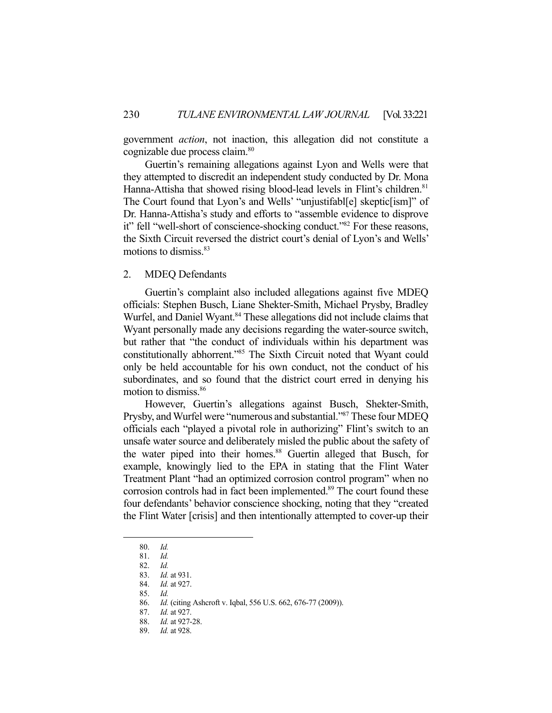government *action*, not inaction, this allegation did not constitute a cognizable due process claim.<sup>80</sup>

 Guertin's remaining allegations against Lyon and Wells were that they attempted to discredit an independent study conducted by Dr. Mona Hanna-Attisha that showed rising blood-lead levels in Flint's children.<sup>81</sup> The Court found that Lyon's and Wells' "unjustifabl[e] skeptic[ism]" of Dr. Hanna-Attisha's study and efforts to "assemble evidence to disprove it" fell "well-short of conscience-shocking conduct."82 For these reasons, the Sixth Circuit reversed the district court's denial of Lyon's and Wells' motions to dismiss.83

### 2. MDEQ Defendants

 Guertin's complaint also included allegations against five MDEQ officials: Stephen Busch, Liane Shekter-Smith, Michael Prysby, Bradley Wurfel, and Daniel Wyant.<sup>84</sup> These allegations did not include claims that Wyant personally made any decisions regarding the water-source switch, but rather that "the conduct of individuals within his department was constitutionally abhorrent."85 The Sixth Circuit noted that Wyant could only be held accountable for his own conduct, not the conduct of his subordinates, and so found that the district court erred in denying his motion to dismiss.86

 However, Guertin's allegations against Busch, Shekter-Smith, Prysby, and Wurfel were "numerous and substantial."87 These four MDEQ officials each "played a pivotal role in authorizing" Flint's switch to an unsafe water source and deliberately misled the public about the safety of the water piped into their homes.<sup>88</sup> Guertin alleged that Busch, for example, knowingly lied to the EPA in stating that the Flint Water Treatment Plant "had an optimized corrosion control program" when no corrosion controls had in fact been implemented.<sup>89</sup> The court found these four defendants' behavior conscience shocking, noting that they "created the Flint Water [crisis] and then intentionally attempted to cover-up their

 <sup>80.</sup> *Id.*

 <sup>81.</sup> *Id.*

 <sup>82.</sup> *Id.*

 <sup>83.</sup> *Id.* at 931.

 <sup>84.</sup> *Id.* at 927.

 <sup>85.</sup> *Id.*

 <sup>86.</sup> *Id.* (citing Ashcroft v. Iqbal, 556 U.S. 662, 676-77 (2009)).

 <sup>87.</sup> *Id.* at 927.

 <sup>88.</sup> *Id.* at 927-28.

 <sup>89.</sup> *Id.* at 928.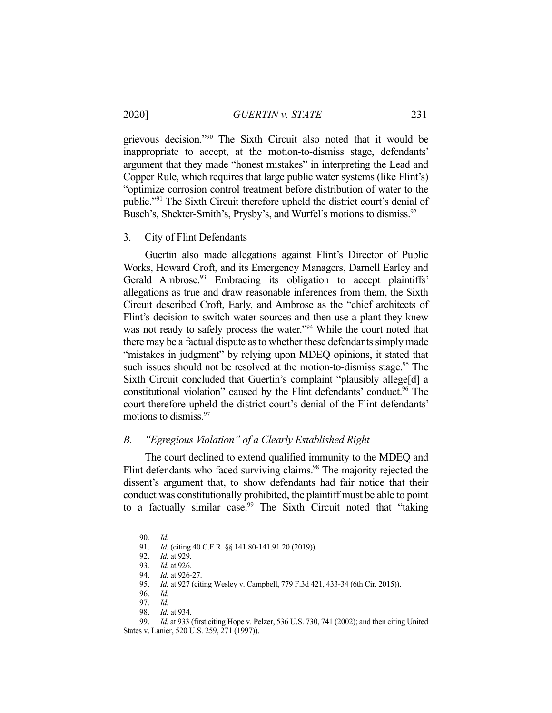grievous decision."90 The Sixth Circuit also noted that it would be inappropriate to accept, at the motion-to-dismiss stage, defendants' argument that they made "honest mistakes" in interpreting the Lead and Copper Rule, which requires that large public water systems (like Flint's) "optimize corrosion control treatment before distribution of water to the public."91 The Sixth Circuit therefore upheld the district court's denial of Busch's, Shekter-Smith's, Prysby's, and Wurfel's motions to dismiss.<sup>92</sup>

### 3. City of Flint Defendants

 Guertin also made allegations against Flint's Director of Public Works, Howard Croft, and its Emergency Managers, Darnell Earley and Gerald Ambrose.<sup>93</sup> Embracing its obligation to accept plaintiffs' allegations as true and draw reasonable inferences from them, the Sixth Circuit described Croft, Early, and Ambrose as the "chief architects of Flint's decision to switch water sources and then use a plant they knew was not ready to safely process the water."<sup>94</sup> While the court noted that there may be a factual dispute as to whether these defendants simply made "mistakes in judgment" by relying upon MDEQ opinions, it stated that such issues should not be resolved at the motion-to-dismiss stage.<sup>95</sup> The Sixth Circuit concluded that Guertin's complaint "plausibly allege[d] a constitutional violation" caused by the Flint defendants' conduct.<sup>96</sup> The court therefore upheld the district court's denial of the Flint defendants' motions to dismiss.97

# *B. "Egregious Violation" of a Clearly Established Right*

 The court declined to extend qualified immunity to the MDEQ and Flint defendants who faced surviving claims.<sup>98</sup> The majority rejected the dissent's argument that, to show defendants had fair notice that their conduct was constitutionally prohibited, the plaintiff must be able to point to a factually similar case.<sup>99</sup> The Sixth Circuit noted that "taking

 <sup>90.</sup> *Id.*

 <sup>91.</sup> *Id.* (citing 40 C.F.R. §§ 141.80-141.91 20 (2019)).

 <sup>92.</sup> *Id.* at 929.

 <sup>93.</sup> *Id.* at 926.

 <sup>94.</sup> *Id.* at 926-27.

 <sup>95.</sup> *Id.* at 927 (citing Wesley v. Campbell, 779 F.3d 421, 433-34 (6th Cir. 2015)).

 <sup>96.</sup> *Id.*

 <sup>97.</sup> *Id.* 

 <sup>98.</sup> *Id.* at 934.

 <sup>99.</sup> *Id.* at 933 (first citing Hope v. Pelzer, 536 U.S. 730, 741 (2002); and then citing United States v. Lanier, 520 U.S. 259, 271 (1997)).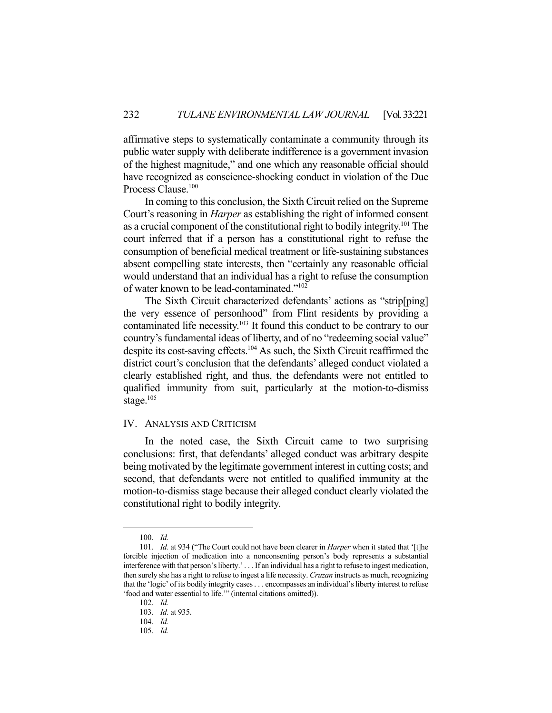affirmative steps to systematically contaminate a community through its public water supply with deliberate indifference is a government invasion of the highest magnitude," and one which any reasonable official should have recognized as conscience-shocking conduct in violation of the Due Process Clause.<sup>100</sup>

 In coming to this conclusion, the Sixth Circuit relied on the Supreme Court's reasoning in *Harper* as establishing the right of informed consent as a crucial component of the constitutional right to bodily integrity.<sup>101</sup> The court inferred that if a person has a constitutional right to refuse the consumption of beneficial medical treatment or life-sustaining substances absent compelling state interests, then "certainly any reasonable official would understand that an individual has a right to refuse the consumption of water known to be lead-contaminated."102

 The Sixth Circuit characterized defendants' actions as "strip[ping] the very essence of personhood" from Flint residents by providing a contaminated life necessity.103 It found this conduct to be contrary to our country's fundamental ideas of liberty, and of no "redeeming social value" despite its cost-saving effects.104 As such, the Sixth Circuit reaffirmed the district court's conclusion that the defendants' alleged conduct violated a clearly established right, and thus, the defendants were not entitled to qualified immunity from suit, particularly at the motion-to-dismiss stage. $105$ 

### IV. ANALYSIS AND CRITICISM

 In the noted case, the Sixth Circuit came to two surprising conclusions: first, that defendants' alleged conduct was arbitrary despite being motivated by the legitimate government interest in cutting costs; and second, that defendants were not entitled to qualified immunity at the motion-to-dismiss stage because their alleged conduct clearly violated the constitutional right to bodily integrity.

 <sup>100.</sup> *Id.*

 <sup>101.</sup> *Id.* at 934 ("The Court could not have been clearer in *Harper* when it stated that '[t]he forcible injection of medication into a nonconsenting person's body represents a substantial interference with that person's liberty.' . . . If an individual has a right to refuse to ingest medication, then surely she has a right to refuse to ingest a life necessity. *Cruzan* instructs as much, recognizing that the 'logic' of its bodily integrity cases . . . encompasses an individual's liberty interest to refuse 'food and water essential to life.'" (internal citations omitted)).

 <sup>102.</sup> *Id.*

 <sup>103.</sup> *Id.* at 935.

 $104 \frac{Id}{I}$ 

 <sup>105.</sup> *Id.*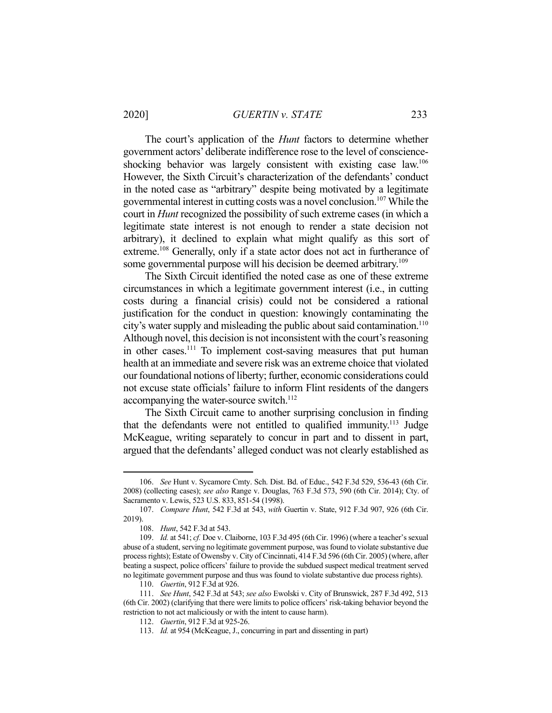#### 2020] *GUERTIN v. STATE* 233

 The court's application of the *Hunt* factors to determine whether government actors' deliberate indifference rose to the level of conscienceshocking behavior was largely consistent with existing case law.<sup>106</sup> However, the Sixth Circuit's characterization of the defendants' conduct in the noted case as "arbitrary" despite being motivated by a legitimate governmental interest in cutting costs was a novel conclusion.107 While the court in *Hunt* recognized the possibility of such extreme cases (in which a legitimate state interest is not enough to render a state decision not arbitrary), it declined to explain what might qualify as this sort of extreme.<sup>108</sup> Generally, only if a state actor does not act in furtherance of some governmental purpose will his decision be deemed arbitrary.<sup>109</sup>

 The Sixth Circuit identified the noted case as one of these extreme circumstances in which a legitimate government interest (i.e., in cutting costs during a financial crisis) could not be considered a rational justification for the conduct in question: knowingly contaminating the city's water supply and misleading the public about said contamination.<sup>110</sup> Although novel, this decision is not inconsistent with the court's reasoning in other cases.<sup>111</sup> To implement cost-saving measures that put human health at an immediate and severe risk was an extreme choice that violated our foundational notions of liberty; further, economic considerations could not excuse state officials' failure to inform Flint residents of the dangers accompanying the water-source switch.<sup>112</sup>

 The Sixth Circuit came to another surprising conclusion in finding that the defendants were not entitled to qualified immunity.<sup>113</sup> Judge McKeague, writing separately to concur in part and to dissent in part, argued that the defendants' alleged conduct was not clearly established as

 <sup>106.</sup> *See* Hunt v. Sycamore Cmty. Sch. Dist. Bd. of Educ., 542 F.3d 529, 536-43 (6th Cir. 2008) (collecting cases); *see also* Range v. Douglas, 763 F.3d 573, 590 (6th Cir. 2014); Cty. of Sacramento v. Lewis, 523 U.S. 833, 851-54 (1998).

 <sup>107.</sup> *Compare Hunt*, 542 F.3d at 543, *with* Guertin v. State, 912 F.3d 907, 926 (6th Cir. 2019).

 <sup>108.</sup> *Hunt*, 542 F.3d at 543.

 <sup>109.</sup> *Id.* at 541; *cf.* Doe v. Claiborne, 103 F.3d 495 (6th Cir. 1996) (where a teacher's sexual abuse of a student, serving no legitimate government purpose, was found to violate substantive due process rights); Estate of Owensby v. City of Cincinnati, 414 F.3d 596 (6th Cir. 2005) (where, after beating a suspect, police officers' failure to provide the subdued suspect medical treatment served no legitimate government purpose and thus was found to violate substantive due process rights).

 <sup>110.</sup> *Guertin*, 912 F.3d at 926.

 <sup>111.</sup> *See Hunt*, 542 F.3d at 543; *see also* Ewolski v. City of Brunswick, 287 F.3d 492, 513 (6th Cir. 2002) (clarifying that there were limits to police officers' risk-taking behavior beyond the restriction to not act maliciously or with the intent to cause harm).

 <sup>112.</sup> *Guertin*, 912 F.3d at 925-26.

 <sup>113.</sup> *Id.* at 954 (McKeague, J., concurring in part and dissenting in part)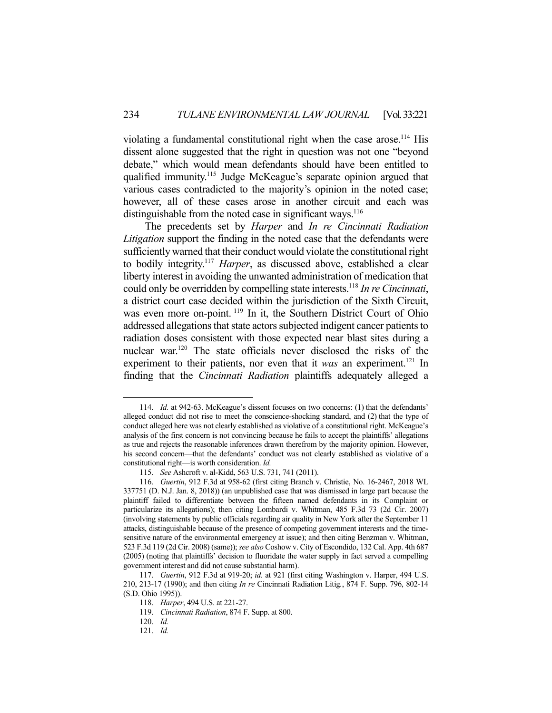violating a fundamental constitutional right when the case arose.<sup>114</sup> His dissent alone suggested that the right in question was not one "beyond debate," which would mean defendants should have been entitled to qualified immunity.<sup>115</sup> Judge McKeague's separate opinion argued that various cases contradicted to the majority's opinion in the noted case; however, all of these cases arose in another circuit and each was distinguishable from the noted case in significant ways.<sup>116</sup>

 The precedents set by *Harper* and *In re Cincinnati Radiation Litigation* support the finding in the noted case that the defendants were sufficiently warned that their conduct would violate the constitutional right to bodily integrity.117 *Harper*, as discussed above, established a clear liberty interest in avoiding the unwanted administration of medication that could only be overridden by compelling state interests.118 *In re Cincinnati*, a district court case decided within the jurisdiction of the Sixth Circuit, was even more on-point.<sup>119</sup> In it, the Southern District Court of Ohio addressed allegations that state actors subjected indigent cancer patients to radiation doses consistent with those expected near blast sites during a nuclear war.120 The state officials never disclosed the risks of the experiment to their patients, nor even that it *was* an experiment.<sup>121</sup> In finding that the *Cincinnati Radiation* plaintiffs adequately alleged a

 <sup>114.</sup> *Id.* at 942-63. McKeague's dissent focuses on two concerns: (1) that the defendants' alleged conduct did not rise to meet the conscience-shocking standard, and (2) that the type of conduct alleged here was not clearly established as violative of a constitutional right. McKeague's analysis of the first concern is not convincing because he fails to accept the plaintiffs' allegations as true and rejects the reasonable inferences drawn therefrom by the majority opinion. However, his second concern—that the defendants' conduct was not clearly established as violative of a constitutional right—is worth consideration. *Id.*

 <sup>115.</sup> *See* Ashcroft v. al-Kidd, 563 U.S. 731, 741 (2011).

 <sup>116.</sup> *Guertin*, 912 F.3d at 958-62 (first citing Branch v. Christie, No. 16-2467, 2018 WL 337751 (D. N.J. Jan. 8, 2018)) (an unpublished case that was dismissed in large part because the plaintiff failed to differentiate between the fifteen named defendants in its Complaint or particularize its allegations); then citing Lombardi v. Whitman, 485 F.3d 73 (2d Cir. 2007) (involving statements by public officials regarding air quality in New York after the September 11 attacks, distinguishable because of the presence of competing government interests and the timesensitive nature of the environmental emergency at issue); and then citing Benzman v. Whitman, 523 F.3d 119 (2d Cir. 2008) (same)); *see also* Coshow v. City of Escondido, 132 Cal. App. 4th 687 (2005) (noting that plaintiffs' decision to fluoridate the water supply in fact served a compelling government interest and did not cause substantial harm).

 <sup>117.</sup> *Guertin*, 912 F.3d at 919-20; *id.* at 921 (first citing Washington v. Harper, 494 U.S. 210, 213-17 (1990); and then citing *In re* Cincinnati Radiation Litig*.*, 874 F. Supp. 796, 802-14 (S.D. Ohio 1995)).

 <sup>118.</sup> *Harper*, 494 U.S. at 221-27.

 <sup>119.</sup> *Cincinnati Radiation*, 874 F. Supp. at 800.

 <sup>120.</sup> *Id.* 

 <sup>121.</sup> *Id.*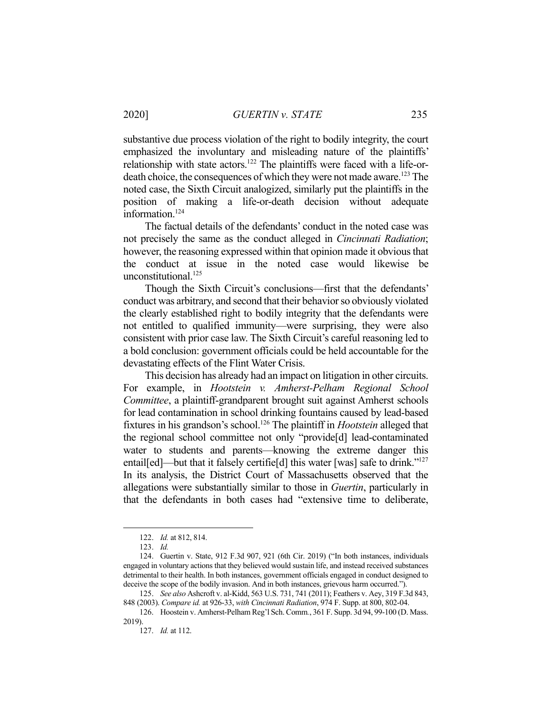substantive due process violation of the right to bodily integrity, the court emphasized the involuntary and misleading nature of the plaintiffs' relationship with state actors.<sup>122</sup> The plaintiffs were faced with a life-ordeath choice, the consequences of which they were not made aware.<sup>123</sup> The noted case, the Sixth Circuit analogized, similarly put the plaintiffs in the position of making a life-or-death decision without adequate information.<sup>124</sup>

 The factual details of the defendants' conduct in the noted case was not precisely the same as the conduct alleged in *Cincinnati Radiation*; however, the reasoning expressed within that opinion made it obvious that the conduct at issue in the noted case would likewise be unconstitutional.<sup>125</sup>

 Though the Sixth Circuit's conclusions—first that the defendants' conduct was arbitrary, and second that their behavior so obviously violated the clearly established right to bodily integrity that the defendants were not entitled to qualified immunity—were surprising, they were also consistent with prior case law. The Sixth Circuit's careful reasoning led to a bold conclusion: government officials could be held accountable for the devastating effects of the Flint Water Crisis.

 This decision has already had an impact on litigation in other circuits. For example, in *Hootstein v. Amherst-Pelham Regional School Committee*, a plaintiff-grandparent brought suit against Amherst schools for lead contamination in school drinking fountains caused by lead-based fixtures in his grandson's school.126 The plaintiff in *Hootstein* alleged that the regional school committee not only "provide[d] lead-contaminated water to students and parents—knowing the extreme danger this entail[ed]—but that it falsely certifie<sup>[d]</sup> this water [was] safe to drink."<sup>127</sup> In its analysis, the District Court of Massachusetts observed that the allegations were substantially similar to those in *Guertin*, particularly in that the defendants in both cases had "extensive time to deliberate,

 <sup>122.</sup> *Id.* at 812, 814.

 <sup>123.</sup> *Id.* 

 <sup>124.</sup> Guertin v. State, 912 F.3d 907, 921 (6th Cir. 2019) ("In both instances, individuals engaged in voluntary actions that they believed would sustain life, and instead received substances detrimental to their health. In both instances, government officials engaged in conduct designed to deceive the scope of the bodily invasion. And in both instances, grievous harm occurred.").

 <sup>125.</sup> *See also* Ashcroft v. al-Kidd, 563 U.S. 731, 741 (2011); Feathers v. Aey, 319 F.3d 843, 848 (2003). *Compare id.* at 926-33, *with Cincinnati Radiation*, 974 F. Supp. at 800, 802-04.

 <sup>126.</sup> Hoostein v. Amherst-Pelham Reg'l Sch. Comm*.*, 361 F. Supp. 3d 94, 99-100 (D. Mass. 2019).

 <sup>127.</sup> *Id.* at 112.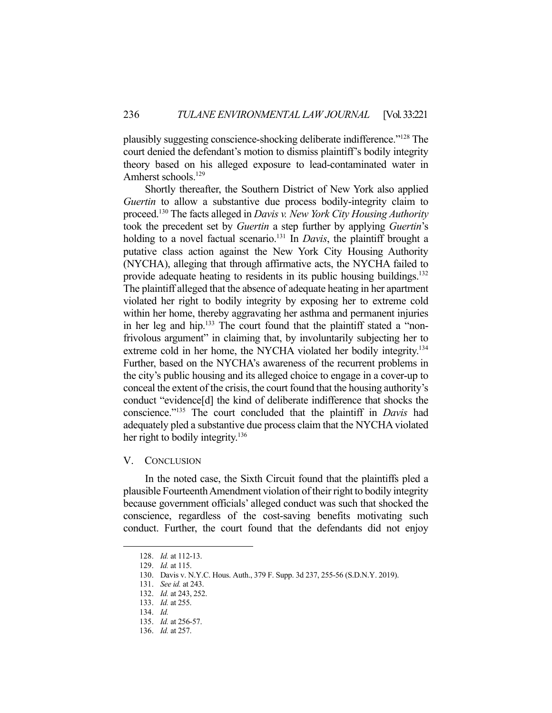plausibly suggesting conscience-shocking deliberate indifference."128 The court denied the defendant's motion to dismiss plaintiff's bodily integrity theory based on his alleged exposure to lead-contaminated water in Amherst schools.<sup>129</sup>

 Shortly thereafter, the Southern District of New York also applied *Guertin* to allow a substantive due process bodily-integrity claim to proceed.130 The facts alleged in *Davis v. New York City Housing Authority* took the precedent set by *Guertin* a step further by applying *Guertin*'s holding to a novel factual scenario.<sup>131</sup> In *Davis*, the plaintiff brought a putative class action against the New York City Housing Authority (NYCHA), alleging that through affirmative acts, the NYCHA failed to provide adequate heating to residents in its public housing buildings.<sup>132</sup> The plaintiff alleged that the absence of adequate heating in her apartment violated her right to bodily integrity by exposing her to extreme cold within her home, thereby aggravating her asthma and permanent injuries in her leg and hip.<sup>133</sup> The court found that the plaintiff stated a "nonfrivolous argument" in claiming that, by involuntarily subjecting her to extreme cold in her home, the NYCHA violated her bodily integrity.<sup>134</sup> Further, based on the NYCHA's awareness of the recurrent problems in the city's public housing and its alleged choice to engage in a cover-up to conceal the extent of the crisis, the court found that the housing authority's conduct "evidence[d] the kind of deliberate indifference that shocks the conscience."135 The court concluded that the plaintiff in *Davis* had adequately pled a substantive due process claim that the NYCHA violated her right to bodily integrity.<sup>136</sup>

#### V. CONCLUSION

 In the noted case, the Sixth Circuit found that the plaintiffs pled a plausible Fourteenth Amendment violation of their right to bodily integrity because government officials' alleged conduct was such that shocked the conscience, regardless of the cost-saving benefits motivating such conduct. Further, the court found that the defendants did not enjoy

 <sup>128.</sup> *Id.* at 112-13.

 <sup>129.</sup> *Id.* at 115.

 <sup>130.</sup> Davis v. N.Y.C. Hous. Auth., 379 F. Supp. 3d 237, 255-56 (S.D.N.Y. 2019).

 <sup>131.</sup> *See id.* at 243.

 <sup>132.</sup> *Id.* at 243, 252.

 <sup>133.</sup> *Id.* at 255.

 <sup>134.</sup> *Id.* 

 <sup>135.</sup> *Id.* at 256-57.

 <sup>136.</sup> *Id.* at 257.